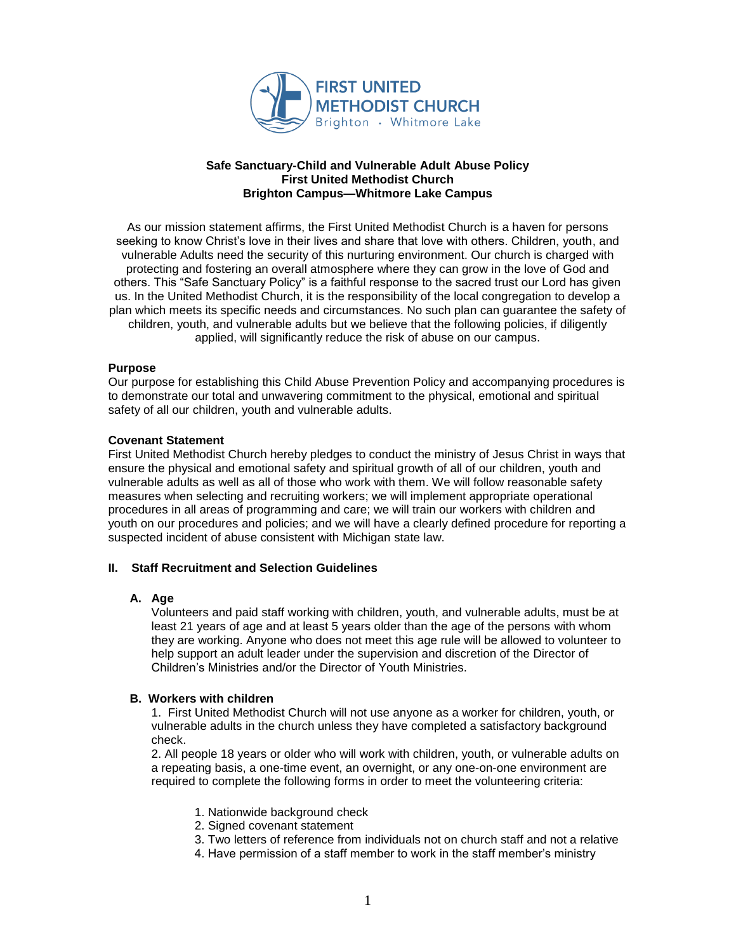

#### **Safe Sanctuary-Child and Vulnerable Adult Abuse Policy First United Methodist Church Brighton Campus—Whitmore Lake Campus**

As our mission statement affirms, the First United Methodist Church is a haven for persons seeking to know Christ's love in their lives and share that love with others. Children, youth, and vulnerable Adults need the security of this nurturing environment. Our church is charged with protecting and fostering an overall atmosphere where they can grow in the love of God and others. This "Safe Sanctuary Policy" is a faithful response to the sacred trust our Lord has given us. In the United Methodist Church, it is the responsibility of the local congregation to develop a plan which meets its specific needs and circumstances. No such plan can guarantee the safety of children, youth, and vulnerable adults but we believe that the following policies, if diligently applied, will significantly reduce the risk of abuse on our campus.

## **Purpose**

Our purpose for establishing this Child Abuse Prevention Policy and accompanying procedures is to demonstrate our total and unwavering commitment to the physical, emotional and spiritual safety of all our children, youth and vulnerable adults.

## **Covenant Statement**

First United Methodist Church hereby pledges to conduct the ministry of Jesus Christ in ways that ensure the physical and emotional safety and spiritual growth of all of our children, youth and vulnerable adults as well as all of those who work with them. We will follow reasonable safety measures when selecting and recruiting workers; we will implement appropriate operational procedures in all areas of programming and care; we will train our workers with children and youth on our procedures and policies; and we will have a clearly defined procedure for reporting a suspected incident of abuse consistent with Michigan state law.

# **II. Staff Recruitment and Selection Guidelines**

## **A. Age**

Volunteers and paid staff working with children, youth, and vulnerable adults, must be at least 21 years of age and at least 5 years older than the age of the persons with whom they are working. Anyone who does not meet this age rule will be allowed to volunteer to help support an adult leader under the supervision and discretion of the Director of Children's Ministries and/or the Director of Youth Ministries.

## **B. Workers with children**

1. First United Methodist Church will not use anyone as a worker for children, youth, or vulnerable adults in the church unless they have completed a satisfactory background check.

2. All people 18 years or older who will work with children, youth, or vulnerable adults on a repeating basis, a one-time event, an overnight, or any one-on-one environment are required to complete the following forms in order to meet the volunteering criteria:

- 1. Nationwide background check
- 2. Signed covenant statement
- 3. Two letters of reference from individuals not on church staff and not a relative
- 4. Have permission of a staff member to work in the staff member's ministry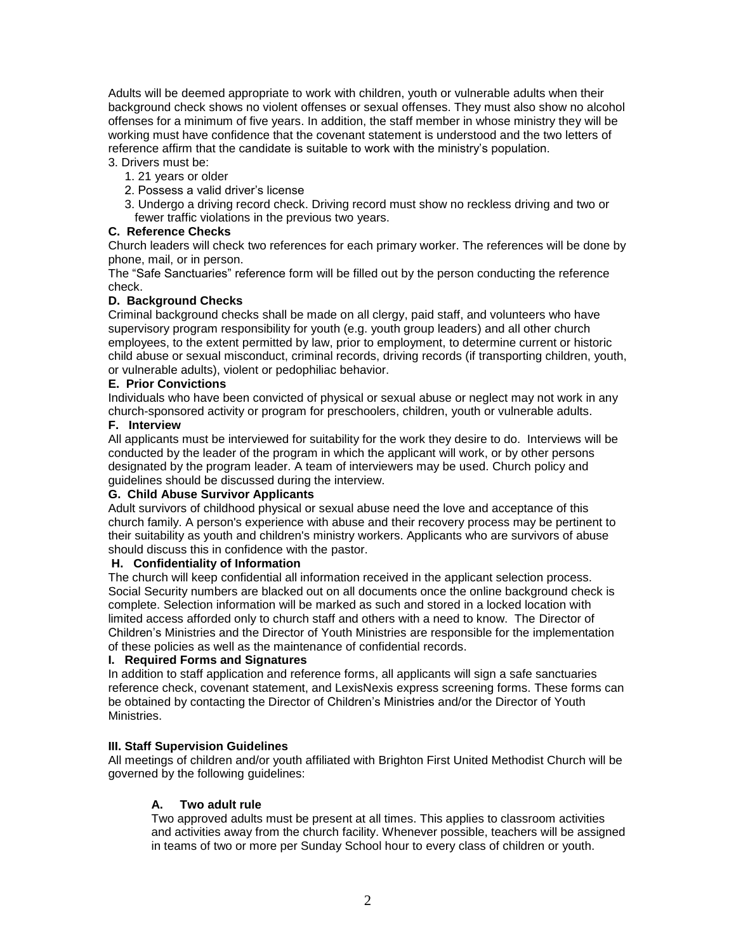Adults will be deemed appropriate to work with children, youth or vulnerable adults when their background check shows no violent offenses or sexual offenses. They must also show no alcohol offenses for a minimum of five years. In addition, the staff member in whose ministry they will be working must have confidence that the covenant statement is understood and the two letters of reference affirm that the candidate is suitable to work with the ministry's population. 3. Drivers must be:

- 1. 21 years or older
- 2. Possess a valid driver's license
- 3. Undergo a driving record check. Driving record must show no reckless driving and two or fewer traffic violations in the previous two years.

## **C. Reference Checks**

Church leaders will check two references for each primary worker. The references will be done by phone, mail, or in person.

The "Safe Sanctuaries" reference form will be filled out by the person conducting the reference check.

## **D. Background Checks**

Criminal background checks shall be made on all clergy, paid staff, and volunteers who have supervisory program responsibility for youth (e.g. youth group leaders) and all other church employees, to the extent permitted by law, prior to employment, to determine current or historic child abuse or sexual misconduct, criminal records, driving records (if transporting children, youth, or vulnerable adults), violent or pedophiliac behavior.

## **E. Prior Convictions**

Individuals who have been convicted of physical or sexual abuse or neglect may not work in any church-sponsored activity or program for preschoolers, children, youth or vulnerable adults.

# **F. Interview**

All applicants must be interviewed for suitability for the work they desire to do. Interviews will be conducted by the leader of the program in which the applicant will work, or by other persons designated by the program leader. A team of interviewers may be used. Church policy and guidelines should be discussed during the interview.

## **G. Child Abuse Survivor Applicants**

Adult survivors of childhood physical or sexual abuse need the love and acceptance of this church family. A person's experience with abuse and their recovery process may be pertinent to their suitability as youth and children's ministry workers. Applicants who are survivors of abuse should discuss this in confidence with the pastor.

## **H. Confidentiality of Information**

The church will keep confidential all information received in the applicant selection process. Social Security numbers are blacked out on all documents once the online background check is complete. Selection information will be marked as such and stored in a locked location with limited access afforded only to church staff and others with a need to know. The Director of Children's Ministries and the Director of Youth Ministries are responsible for the implementation of these policies as well as the maintenance of confidential records.

# **I. Required Forms and Signatures**

In addition to staff application and reference forms, all applicants will sign a safe sanctuaries reference check, covenant statement, and LexisNexis express screening forms. These forms can be obtained by contacting the Director of Children's Ministries and/or the Director of Youth Ministries.

# **III. Staff Supervision Guidelines**

All meetings of children and/or youth affiliated with Brighton First United Methodist Church will be governed by the following guidelines:

# **A. Two adult rule**

Two approved adults must be present at all times. This applies to classroom activities and activities away from the church facility. Whenever possible, teachers will be assigned in teams of two or more per Sunday School hour to every class of children or youth.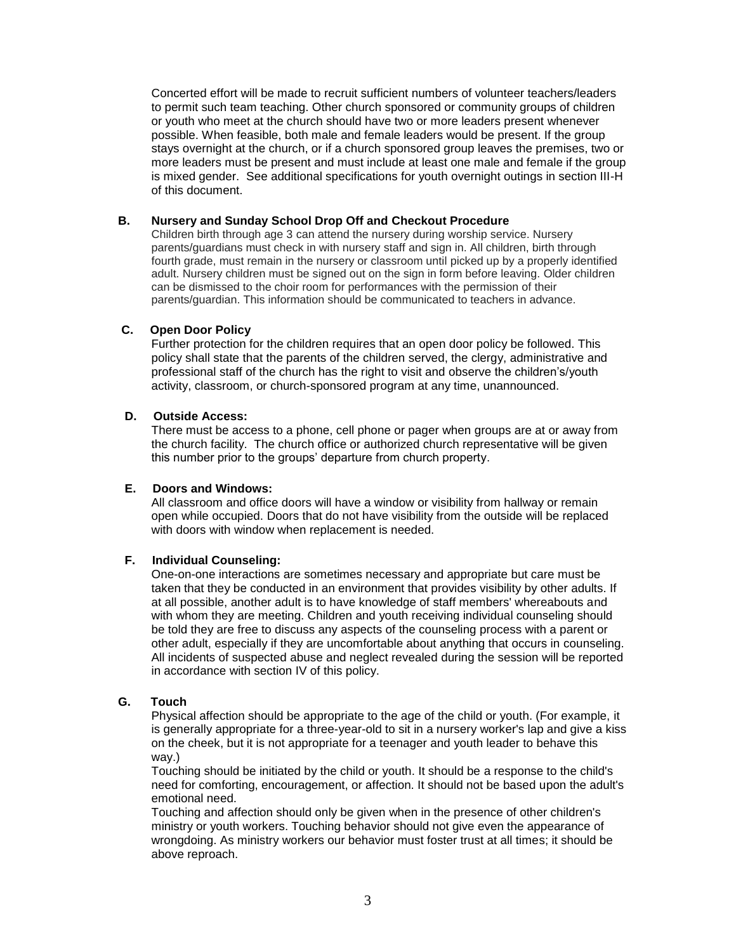Concerted effort will be made to recruit sufficient numbers of volunteer teachers/leaders to permit such team teaching. Other church sponsored or community groups of children or youth who meet at the church should have two or more leaders present whenever possible. When feasible, both male and female leaders would be present. If the group stays overnight at the church, or if a church sponsored group leaves the premises, two or more leaders must be present and must include at least one male and female if the group is mixed gender. See additional specifications for youth overnight outings in section III-H of this document.

## **B. Nursery and Sunday School Drop Off and Checkout Procedure**

Children birth through age 3 can attend the nursery during worship service. Nursery parents/guardians must check in with nursery staff and sign in. All children, birth through fourth grade, must remain in the nursery or classroom until picked up by a properly identified adult. Nursery children must be signed out on the sign in form before leaving. Older children can be dismissed to the choir room for performances with the permission of their parents/guardian. This information should be communicated to teachers in advance.

# **C. Open Door Policy**

Further protection for the children requires that an open door policy be followed. This policy shall state that the parents of the children served, the clergy, administrative and professional staff of the church has the right to visit and observe the children's/youth activity, classroom, or church-sponsored program at any time, unannounced.

# **D. Outside Access:**

There must be access to a phone, cell phone or pager when groups are at or away from the church facility. The church office or authorized church representative will be given this number prior to the groups' departure from church property.

## **E. Doors and Windows:**

All classroom and office doors will have a window or visibility from hallway or remain open while occupied. Doors that do not have visibility from the outside will be replaced with doors with window when replacement is needed.

## **F. Individual Counseling:**

One-on-one interactions are sometimes necessary and appropriate but care must be taken that they be conducted in an environment that provides visibility by other adults. If at all possible, another adult is to have knowledge of staff members' whereabouts and with whom they are meeting. Children and youth receiving individual counseling should be told they are free to discuss any aspects of the counseling process with a parent or other adult, especially if they are uncomfortable about anything that occurs in counseling. All incidents of suspected abuse and neglect revealed during the session will be reported in accordance with section IV of this policy.

## **G. Touch**

Physical affection should be appropriate to the age of the child or youth. (For example, it is generally appropriate for a three-year-old to sit in a nursery worker's lap and give a kiss on the cheek, but it is not appropriate for a teenager and youth leader to behave this way.)

Touching should be initiated by the child or youth. It should be a response to the child's need for comforting, encouragement, or affection. It should not be based upon the adult's emotional need.

Touching and affection should only be given when in the presence of other children's ministry or youth workers. Touching behavior should not give even the appearance of wrongdoing. As ministry workers our behavior must foster trust at all times; it should be above reproach.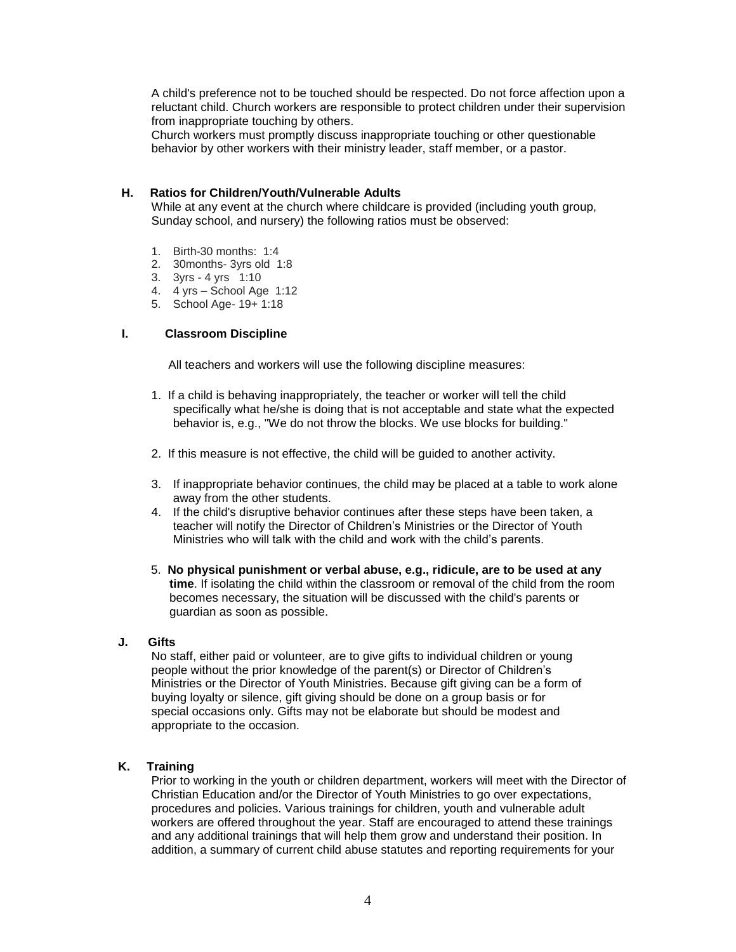A child's preference not to be touched should be respected. Do not force affection upon a reluctant child. Church workers are responsible to protect children under their supervision from inappropriate touching by others.

Church workers must promptly discuss inappropriate touching or other questionable behavior by other workers with their ministry leader, staff member, or a pastor.

## **H. Ratios for Children/Youth/Vulnerable Adults**

While at any event at the church where childcare is provided (including youth group, Sunday school, and nursery) the following ratios must be observed:

- 1. Birth-30 months: 1:4
- 2. 30months- 3yrs old 1:8
- 3. 3yrs 4 yrs 1:10
- 4. 4 yrs School Age 1:12
- 5. School Age- 19+ 1:18

## **I. Classroom Discipline**

All teachers and workers will use the following discipline measures:

- 1. If a child is behaving inappropriately, the teacher or worker will tell the child specifically what he/she is doing that is not acceptable and state what the expected behavior is, e.g., "We do not throw the blocks. We use blocks for building."
- 2. If this measure is not effective, the child will be guided to another activity.
- 3. If inappropriate behavior continues, the child may be placed at a table to work alone away from the other students.
- 4. If the child's disruptive behavior continues after these steps have been taken, a teacher will notify the Director of Children's Ministries or the Director of Youth Ministries who will talk with the child and work with the child's parents.
- 5. **No physical punishment or verbal abuse, e.g., ridicule, are to be used at any time**. If isolating the child within the classroom or removal of the child from the room becomes necessary, the situation will be discussed with the child's parents or guardian as soon as possible.

## **J. Gifts**

No staff, either paid or volunteer, are to give gifts to individual children or young people without the prior knowledge of the parent(s) or Director of Children's Ministries or the Director of Youth Ministries. Because gift giving can be a form of buying loyalty or silence, gift giving should be done on a group basis or for special occasions only. Gifts may not be elaborate but should be modest and appropriate to the occasion.

## **K. Training**

Prior to working in the youth or children department, workers will meet with the Director of Christian Education and/or the Director of Youth Ministries to go over expectations, procedures and policies. Various trainings for children, youth and vulnerable adult workers are offered throughout the year. Staff are encouraged to attend these trainings and any additional trainings that will help them grow and understand their position. In addition, a summary of current child abuse statutes and reporting requirements for your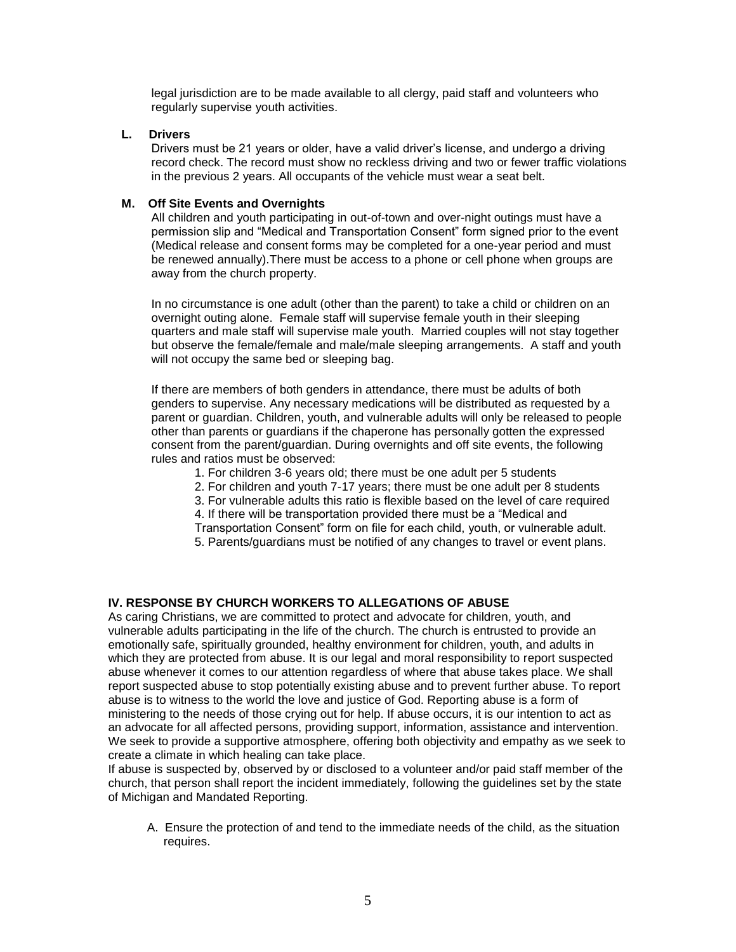legal jurisdiction are to be made available to all clergy, paid staff and volunteers who regularly supervise youth activities.

## **L. Drivers**

Drivers must be 21 years or older, have a valid driver's license, and undergo a driving record check. The record must show no reckless driving and two or fewer traffic violations in the previous 2 years. All occupants of the vehicle must wear a seat belt.

#### **M. Off Site Events and Overnights**

All children and youth participating in out-of-town and over-night outings must have a permission slip and "Medical and Transportation Consent" form signed prior to the event (Medical release and consent forms may be completed for a one-year period and must be renewed annually).There must be access to a phone or cell phone when groups are away from the church property.

In no circumstance is one adult (other than the parent) to take a child or children on an overnight outing alone. Female staff will supervise female youth in their sleeping quarters and male staff will supervise male youth. Married couples will not stay together but observe the female/female and male/male sleeping arrangements. A staff and youth will not occupy the same bed or sleeping bag.

If there are members of both genders in attendance, there must be adults of both genders to supervise. Any necessary medications will be distributed as requested by a parent or guardian. Children, youth, and vulnerable adults will only be released to people other than parents or guardians if the chaperone has personally gotten the expressed consent from the parent/guardian. During overnights and off site events, the following rules and ratios must be observed:

- 1. For children 3-6 years old; there must be one adult per 5 students
- 2. For children and youth 7-17 years; there must be one adult per 8 students
- 3. For vulnerable adults this ratio is flexible based on the level of care required
- 4. If there will be transportation provided there must be a "Medical and
- Transportation Consent" form on file for each child, youth, or vulnerable adult.
- 5. Parents/guardians must be notified of any changes to travel or event plans.

## **IV. RESPONSE BY CHURCH WORKERS TO ALLEGATIONS OF ABUSE**

As caring Christians, we are committed to protect and advocate for children, youth, and vulnerable adults participating in the life of the church. The church is entrusted to provide an emotionally safe, spiritually grounded, healthy environment for children, youth, and adults in which they are protected from abuse. It is our legal and moral responsibility to report suspected abuse whenever it comes to our attention regardless of where that abuse takes place. We shall report suspected abuse to stop potentially existing abuse and to prevent further abuse. To report abuse is to witness to the world the love and justice of God. Reporting abuse is a form of ministering to the needs of those crying out for help. If abuse occurs, it is our intention to act as an advocate for all affected persons, providing support, information, assistance and intervention. We seek to provide a supportive atmosphere, offering both objectivity and empathy as we seek to create a climate in which healing can take place.

If abuse is suspected by, observed by or disclosed to a volunteer and/or paid staff member of the church, that person shall report the incident immediately, following the guidelines set by the state of Michigan and Mandated Reporting.

A. Ensure the protection of and tend to the immediate needs of the child, as the situation requires.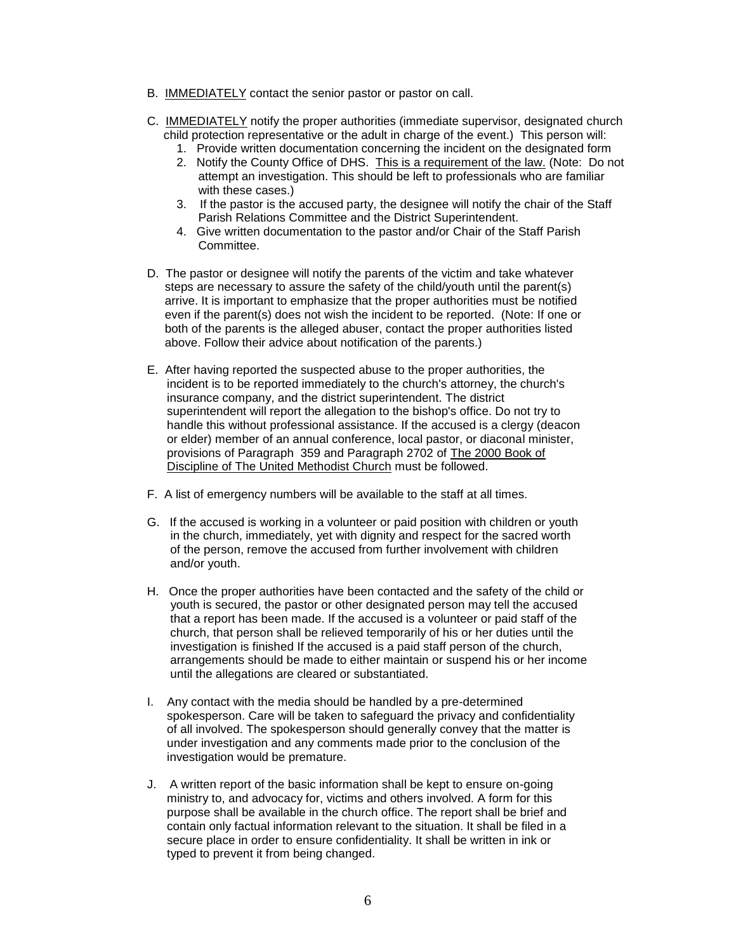- B. IMMEDIATELY contact the senior pastor or pastor on call.
- C. IMMEDIATELY notify the proper authorities (immediate supervisor, designated church child protection representative or the adult in charge of the event.) This person will:
	- 1. Provide written documentation concerning the incident on the designated form
	- 2. Notify the County Office of DHS. This is a requirement of the law. (Note: Do not attempt an investigation. This should be left to professionals who are familiar with these cases.)
	- 3. If the pastor is the accused party, the designee will notify the chair of the Staff Parish Relations Committee and the District Superintendent.
	- 4. Give written documentation to the pastor and/or Chair of the Staff Parish Committee.
- D. The pastor or designee will notify the parents of the victim and take whatever steps are necessary to assure the safety of the child/youth until the parent(s) arrive. It is important to emphasize that the proper authorities must be notified even if the parent(s) does not wish the incident to be reported. (Note: If one or both of the parents is the alleged abuser, contact the proper authorities listed above. Follow their advice about notification of the parents.)
- E. After having reported the suspected abuse to the proper authorities, the incident is to be reported immediately to the church's attorney, the church's insurance company, and the district superintendent. The district superintendent will report the allegation to the bishop's office. Do not try to handle this without professional assistance. If the accused is a clergy (deacon or elder) member of an annual conference, local pastor, or diaconal minister, provisions of Paragraph 359 and Paragraph 2702 of The 2000 Book of Discipline of The United Methodist Church must be followed.
- F. A list of emergency numbers will be available to the staff at all times.
- G. If the accused is working in a volunteer or paid position with children or youth in the church, immediately, yet with dignity and respect for the sacred worth of the person, remove the accused from further involvement with children and/or youth.
- H. Once the proper authorities have been contacted and the safety of the child or youth is secured, the pastor or other designated person may tell the accused that a report has been made. If the accused is a volunteer or paid staff of the church, that person shall be relieved temporarily of his or her duties until the investigation is finished If the accused is a paid staff person of the church, arrangements should be made to either maintain or suspend his or her income until the allegations are cleared or substantiated.
- I. Any contact with the media should be handled by a pre-determined spokesperson. Care will be taken to safeguard the privacy and confidentiality of all involved. The spokesperson should generally convey that the matter is under investigation and any comments made prior to the conclusion of the investigation would be premature.
- J. A written report of the basic information shall be kept to ensure on-going ministry to, and advocacy for, victims and others involved. A form for this purpose shall be available in the church office. The report shall be brief and contain only factual information relevant to the situation. It shall be filed in a secure place in order to ensure confidentiality. It shall be written in ink or typed to prevent it from being changed.